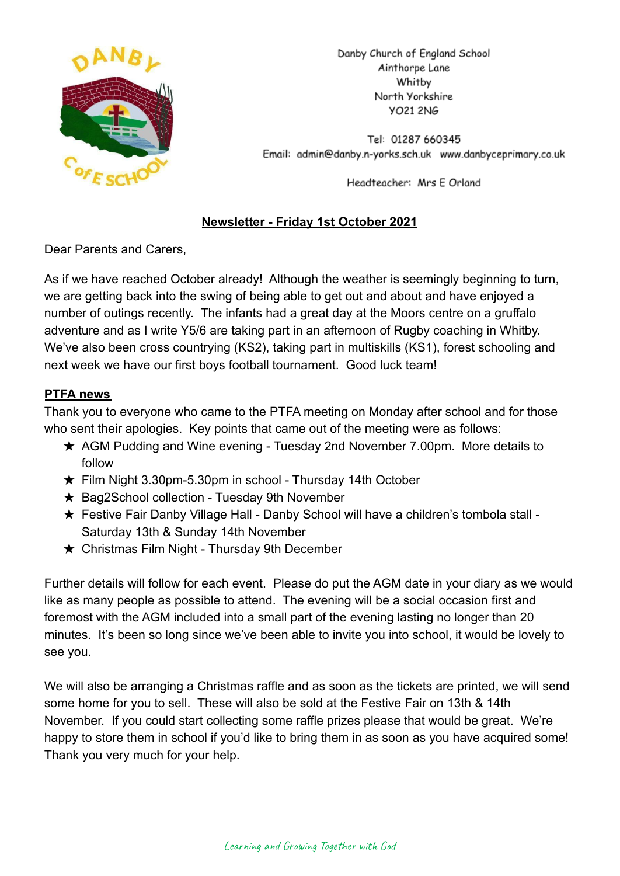

Danby Church of England School Ainthorpe Lane Whitby North Yorkshire **YO21 2NG** 

Tel: 01287 660345 Email: admin@danby.n-yorks.sch.uk www.danbyceprimary.co.uk

Headteacher: Mrs E Orland

# **Newsletter - Friday 1st October 2021**

Dear Parents and Carers,

As if we have reached October already! Although the weather is seemingly beginning to turn, we are getting back into the swing of being able to get out and about and have enjoyed a number of outings recently. The infants had a great day at the Moors centre on a gruffalo adventure and as I write Y5/6 are taking part in an afternoon of Rugby coaching in Whitby. We've also been cross countrying (KS2), taking part in multiskills (KS1), forest schooling and next week we have our first boys football tournament. Good luck team!

# **PTFA news**

Thank you to everyone who came to the PTFA meeting on Monday after school and for those who sent their apologies. Key points that came out of the meeting were as follows:

- ★ AGM Pudding and Wine evening Tuesday 2nd November 7.00pm. More details to follow
- ★ Film Night 3.30pm-5.30pm in school Thursday 14th October
- ★ Bag2School collection Tuesday 9th November
- ★ Festive Fair Danby Village Hall Danby School will have a children's tombola stall Saturday 13th & Sunday 14th November
- $\star$  Christmas Film Night Thursday 9th December

Further details will follow for each event. Please do put the AGM date in your diary as we would like as many people as possible to attend. The evening will be a social occasion first and foremost with the AGM included into a small part of the evening lasting no longer than 20 minutes. It's been so long since we've been able to invite you into school, it would be lovely to see you.

We will also be arranging a Christmas raffle and as soon as the tickets are printed, we will send some home for you to sell. These will also be sold at the Festive Fair on 13th & 14th November. If you could start collecting some raffle prizes please that would be great. We're happy to store them in school if you'd like to bring them in as soon as you have acquired some! Thank you very much for your help.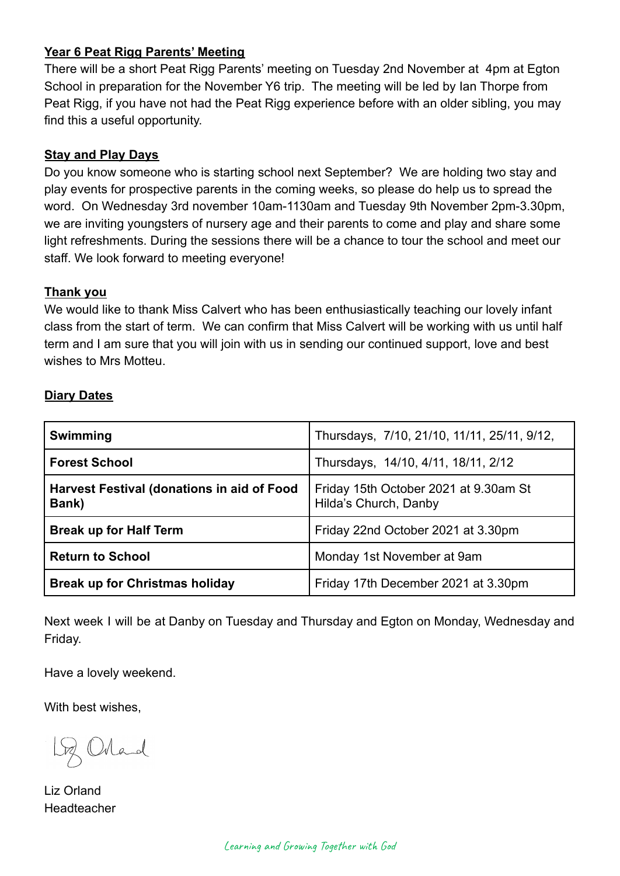## **Year 6 Peat Rigg Parents' Meeting**

There will be a short Peat Rigg Parents' meeting on Tuesday 2nd November at 4pm at Egton School in preparation for the November Y6 trip. The meeting will be led by Ian Thorpe from Peat Rigg, if you have not had the Peat Rigg experience before with an older sibling, you may find this a useful opportunity.

## **Stay and Play Days**

Do you know someone who is starting school next September? We are holding two stay and play events for prospective parents in the coming weeks, so please do help us to spread the word. On Wednesday 3rd november 10am-1130am and Tuesday 9th November 2pm-3.30pm, we are inviting youngsters of nursery age and their parents to come and play and share some light refreshments. During the sessions there will be a chance to tour the school and meet our staff. We look forward to meeting everyone!

## **Thank you**

We would like to thank Miss Calvert who has been enthusiastically teaching our lovely infant class from the start of term. We can confirm that Miss Calvert will be working with us until half term and I am sure that you will join with us in sending our continued support, love and best wishes to Mrs Motteu.

## **Diary Dates**

| <b>Swimming</b>                                            | Thursdays, 7/10, 21/10, 11/11, 25/11, 9/12,                    |
|------------------------------------------------------------|----------------------------------------------------------------|
| <b>Forest School</b>                                       | Thursdays, 14/10, 4/11, 18/11, 2/12                            |
| <b>Harvest Festival (donations in aid of Food</b><br>Bank) | Friday 15th October 2021 at 9.30am St<br>Hilda's Church, Danby |
| <b>Break up for Half Term</b>                              | Friday 22nd October 2021 at 3.30pm                             |
| <b>Return to School</b>                                    | Monday 1st November at 9am                                     |
| <b>Break up for Christmas holiday</b>                      | Friday 17th December 2021 at 3.30pm                            |

Next week I will be at Danby on Tuesday and Thursday and Egton on Monday, Wednesday and Friday.

Have a lovely weekend.

With best wishes,

Orland

Liz Orland Headteacher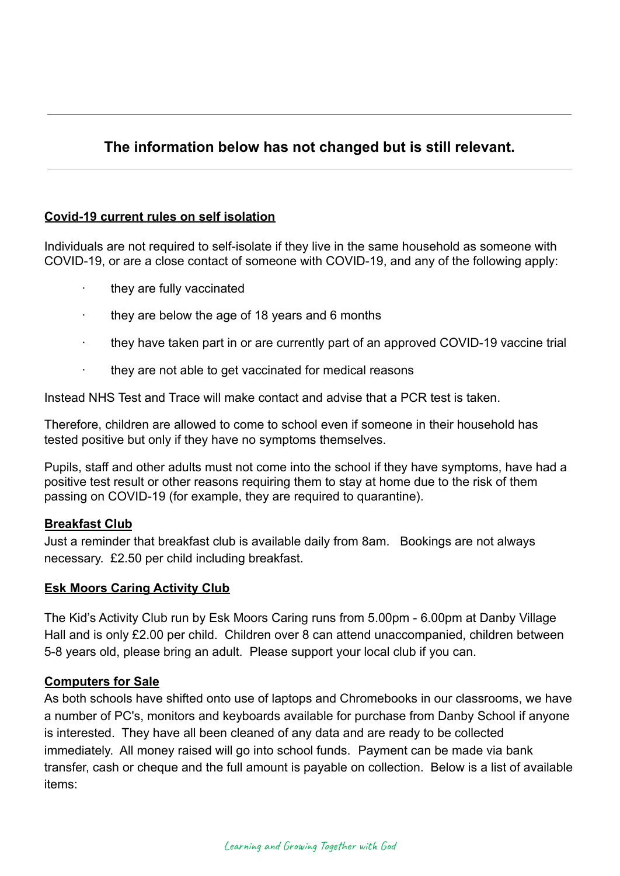# **The information below has not changed but is still relevant.**

### **Covid-19 current rules on self isolation**

Individuals are not required to self-isolate if they live in the same household as someone with COVID-19, or are a close contact of someone with COVID-19, and any of the following apply:

- · they are fully vaccinated
- they are below the age of 18 years and 6 months
- they have taken part in or are currently part of an approved COVID-19 vaccine trial
- they are not able to get vaccinated for medical reasons

Instead NHS Test and Trace will make contact and advise that a PCR test is taken.

Therefore, children are allowed to come to school even if someone in their household has tested positive but only if they have no symptoms themselves.

Pupils, staff and other adults must not come into the school if they have symptoms, have had a positive test result or other reasons requiring them to stay at home due to the risk of them passing on COVID-19 (for example, they are required to quarantine).

#### **Breakfast Club**

Just a reminder that breakfast club is available daily from 8am. Bookings are not always necessary. £2.50 per child including breakfast.

#### **Esk Moors Caring Activity Club**

The Kid's Activity Club run by Esk Moors Caring runs from 5.00pm - 6.00pm at Danby Village Hall and is only £2.00 per child. Children over 8 can attend unaccompanied, children between 5-8 years old, please bring an adult. Please support your local club if you can.

#### **Computers for Sale**

As both schools have shifted onto use of laptops and Chromebooks in our classrooms, we have a number of PC's, monitors and keyboards available for purchase from Danby School if anyone is interested. They have all been cleaned of any data and are ready to be collected immediately. All money raised will go into school funds. Payment can be made via bank transfer, cash or cheque and the full amount is payable on collection. Below is a list of available items: